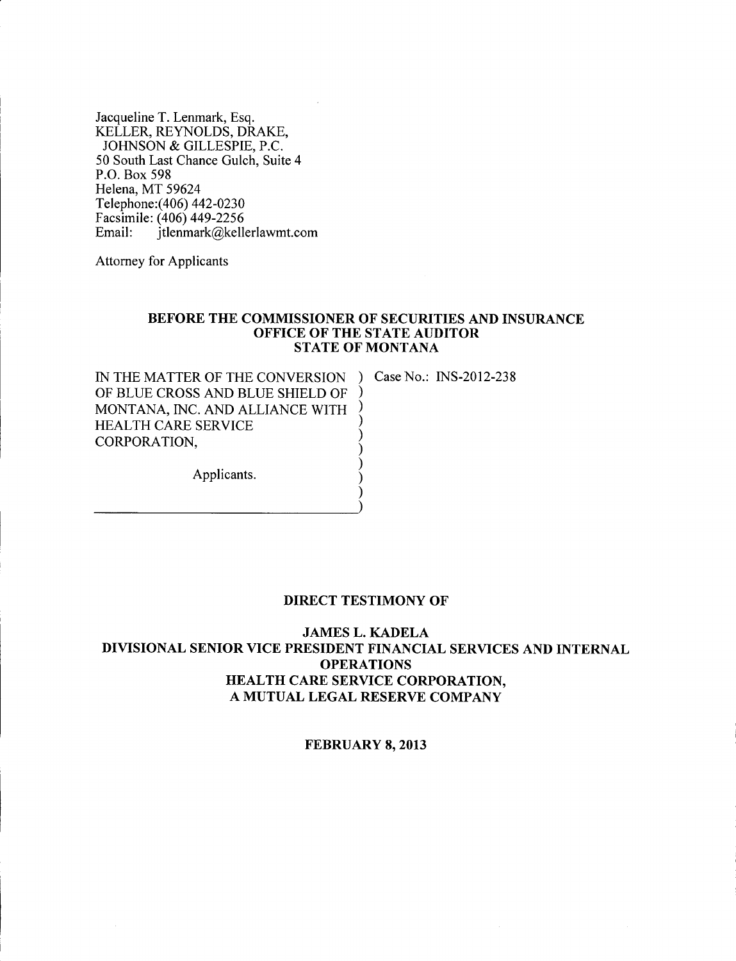Jacqueline T. Lenmark, Esq. KELLER, REYNOLDS, DRAKE, JOHNSON & GILLESPIE, P.C. 50 South Last Chance Gulch, Suite 4 P.O. Box 598 Helena, MT 59624 Telephone: (406) 442-0230 Facsimile: (406) 449-2256 Email: [jtlenmark@kellerlawmt.com](mailto:jtlenmark@kellerlawmt.com)

Attorney for Applicants

----------)

## BEFORE THE COMMISSIONER OF SECURITIES AND INSURANCE OFFICE OF THE STATE AUDITOR STATE OF MONTANA

) ) ) ) ) ) ) )

IN THE MATTER OF THE CONVERSION ) Case No.: INS-2012-238 OF BLUE CROSS AND BLUE SHIELD OF MONTANA, INC. AND ALLIANCE WITH HEALTH CARE SERVICE CORPORATION,

Applicants.

## DIRECT TESTIMONY OF

JAMES L. KADELA DIVISIONAL SENIOR VICE PRESIDENT FINANCIAL SERVICES AND INTERNAL **OPERATIONS** HEALTH CARE SERVICE CORPORATION, A MUTUAL LEGAL RESERVE COMPANY

FEBRUARY 8, 2013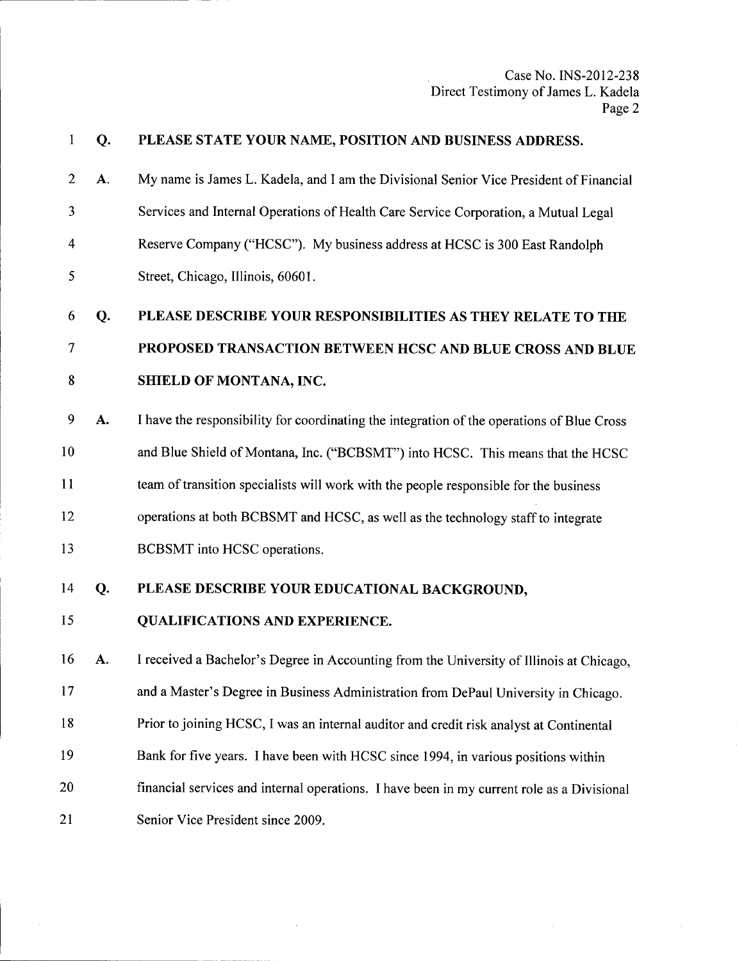| $\mathbf{1}$   | Q. | PLEASE STATE YOUR NAME, POSITION AND BUSINESS ADDRESS.                                     |
|----------------|----|--------------------------------------------------------------------------------------------|
| $\overline{2}$ | A. | My name is James L. Kadela, and I am the Divisional Senior Vice President of Financial     |
| 3              |    | Services and Internal Operations of Health Care Service Corporation, a Mutual Legal        |
| 4              |    | Reserve Company ("HCSC"). My business address at HCSC is 300 East Randolph                 |
| 5              |    | Street, Chicago, Illinois, 60601.                                                          |
| 6              | Q. | PLEASE DESCRIBE YOUR RESPONSIBILITIES AS THEY RELATE TO THE                                |
| 7              |    | PROPOSED TRANSACTION BETWEEN HCSC AND BLUE CROSS AND BLUE                                  |
| 8              |    | <b>SHIELD OF MONTANA, INC.</b>                                                             |
| 9              | A. | I have the responsibility for coordinating the integration of the operations of Blue Cross |
| 10             |    | and Blue Shield of Montana, Inc. ("BCBSMT") into HCSC. This means that the HCSC            |
| 11             |    | team of transition specialists will work with the people responsible for the business      |
| 12             |    | operations at both BCBSMT and HCSC, as well as the technology staff to integrate           |
| 13             |    | BCBSMT into HCSC operations.                                                               |
| 14             | Q. | PLEASE DESCRIBE YOUR EDUCATIONAL BACKGROUND,                                               |
| 15             |    | <b>QUALIFICATIONS AND EXPERIENCE.</b>                                                      |
| 16             | A. | I received a Bachelor's Degree in Accounting from the University of Illinois at Chicago,   |
| 17             |    | and a Master's Degree in Business Administration from DePaul University in Chicago.        |
| 18             |    | Prior to joining HCSC, I was an internal auditor and credit risk analyst at Continental    |
| 19             |    | Bank for five years. I have been with HCSC since 1994, in various positions within         |
| $^{20}$        |    | financial services and internal operations. I have been in my current role as a Divisional |
| 21             |    | Senior Vice President since 2009.                                                          |

 $\bar{\mathcal{A}}$ 

 $\hat{\mathcal{L}}$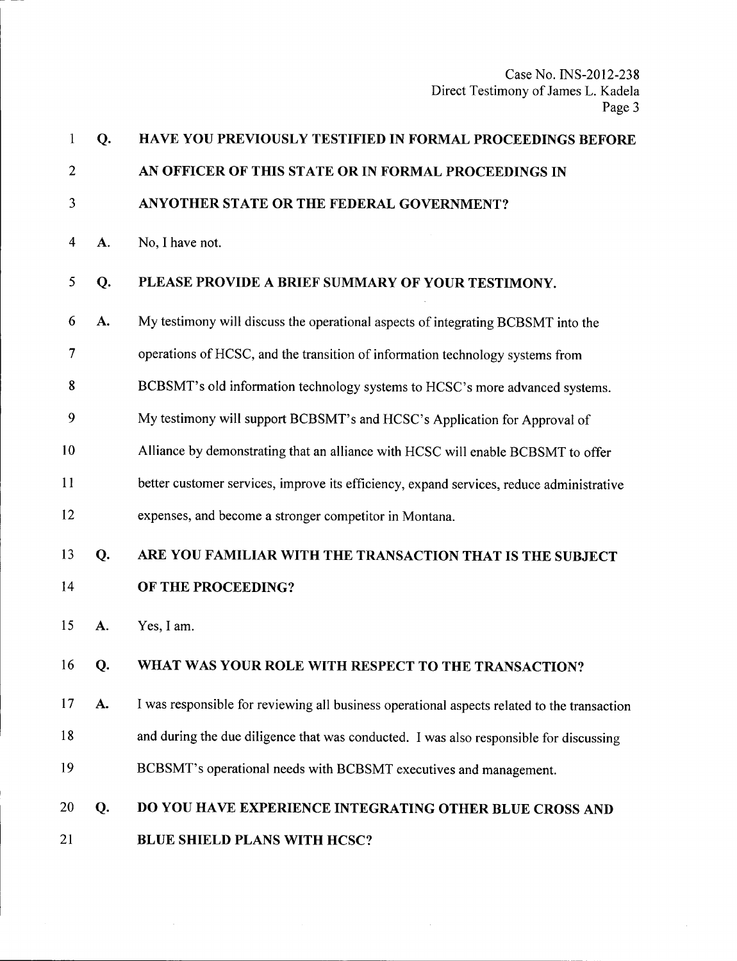| $\mathbf{1}$   | Q. | HAVE YOU PREVIOUSLY TESTIFIED IN FORMAL PROCEEDINGS BEFORE                                  |
|----------------|----|---------------------------------------------------------------------------------------------|
| $\overline{2}$ |    | AN OFFICER OF THIS STATE OR IN FORMAL PROCEEDINGS IN                                        |
| 3              |    | ANYOTHER STATE OR THE FEDERAL GOVERNMENT?                                                   |
| 4              | A. | No, I have not.                                                                             |
| 5              | Q. | PLEASE PROVIDE A BRIEF SUMMARY OF YOUR TESTIMONY.                                           |
| 6              | A. | My testimony will discuss the operational aspects of integrating BCBSMT into the            |
| 7              |    | operations of HCSC, and the transition of information technology systems from               |
| 8              |    | BCBSMT's old information technology systems to HCSC's more advanced systems.                |
| 9              |    | My testimony will support BCBSMT's and HCSC's Application for Approval of                   |
| 10             |    | Alliance by demonstrating that an alliance with HCSC will enable BCBSMT to offer            |
| 11             |    | better customer services, improve its efficiency, expand services, reduce administrative    |
| 12             |    | expenses, and become a stronger competitor in Montana.                                      |
| 13             | Q. | ARE YOU FAMILIAR WITH THE TRANSACTION THAT IS THE SUBJECT                                   |
| 14             |    | OF THE PROCEEDING?                                                                          |
| 15             | A. | Yes, I am.                                                                                  |
| 16             | Q. | WHAT WAS YOUR ROLE WITH RESPECT TO THE TRANSACTION?                                         |
| 17             | A. | I was responsible for reviewing all business operational aspects related to the transaction |
| 18             |    | and during the due diligence that was conducted. I was also responsible for discussing      |
| 19             |    | BCBSMT's operational needs with BCBSMT executives and management.                           |
| 20             | Q. | DO YOU HAVE EXPERIENCE INTEGRATING OTHER BLUE CROSS AND                                     |
| 21             |    | <b>BLUE SHIELD PLANS WITH HCSC?</b>                                                         |

 $\sim$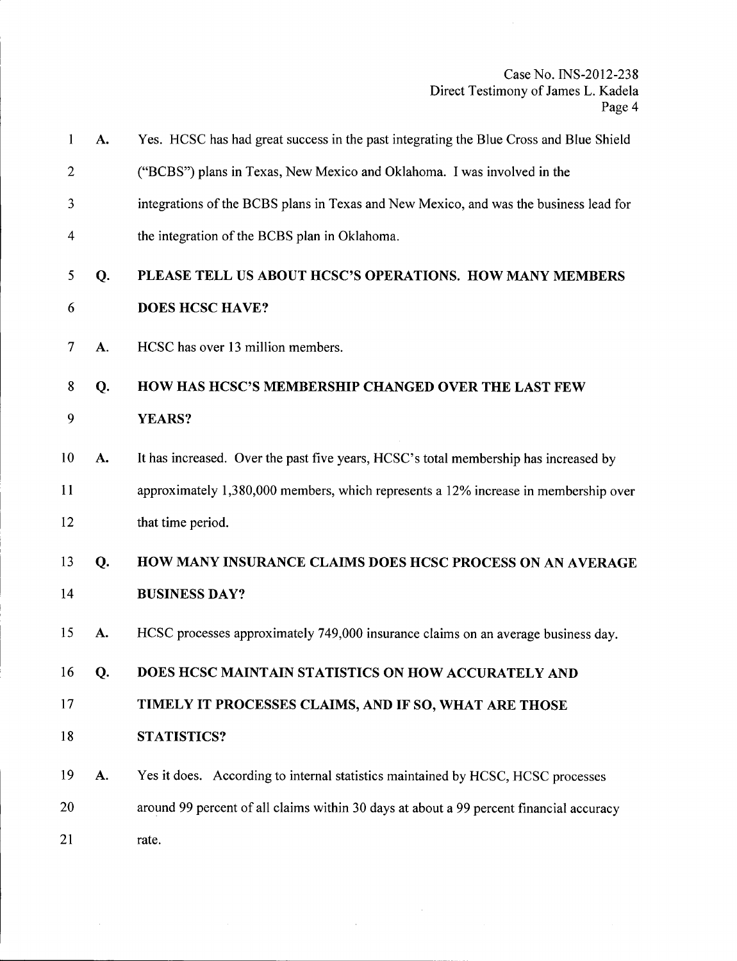| $\mathbf{1}$   | A.        | Yes. HCSC has had great success in the past integrating the Blue Cross and Blue Shield  |
|----------------|-----------|-----------------------------------------------------------------------------------------|
| $\mathbf{2}$   |           | ("BCBS") plans in Texas, New Mexico and Oklahoma. I was involved in the                 |
| 3              |           | integrations of the BCBS plans in Texas and New Mexico, and was the business lead for   |
| 4              |           | the integration of the BCBS plan in Oklahoma.                                           |
| 5              | Q.        | PLEASE TELL US ABOUT HCSC'S OPERATIONS. HOW MANY MEMBERS                                |
| 6              |           | <b>DOES HCSC HAVE?</b>                                                                  |
| $\overline{7}$ | A.        | HCSC has over 13 million members.                                                       |
| 8              | Q.        | <b>HOW HAS HCSC'S MEMBERSHIP CHANGED OVER THE LAST FEW</b>                              |
| 9              |           | YEARS?                                                                                  |
| 10             | A.        | It has increased. Over the past five years, HCSC's total membership has increased by    |
| 11             |           | approximately 1,380,000 members, which represents a 12% increase in membership over     |
| 12             |           | that time period.                                                                       |
| 13             | Q.        | HOW MANY INSURANCE CLAIMS DOES HCSC PROCESS ON AN AVERAGE                               |
| 14             |           | <b>BUSINESS DAY?</b>                                                                    |
| 15             | A.        | HCSC processes approximately 749,000 insurance claims on an average business day.       |
| 16             | Q.        | DOES HCSC MAINTAIN STATISTICS ON HOW ACCURATELY AND                                     |
| 17             |           | TIMELY IT PROCESSES CLAIMS, AND IF SO, WHAT ARE THOSE                                   |
| 18             |           | <b>STATISTICS?</b>                                                                      |
| 19             | <b>A.</b> | Yes it does. According to internal statistics maintained by HCSC, HCSC processes        |
| 20             |           | around 99 percent of all claims within 30 days at about a 99 percent financial accuracy |
| 21             |           | rate.                                                                                   |

 $\sim 10$ 

 $\sim$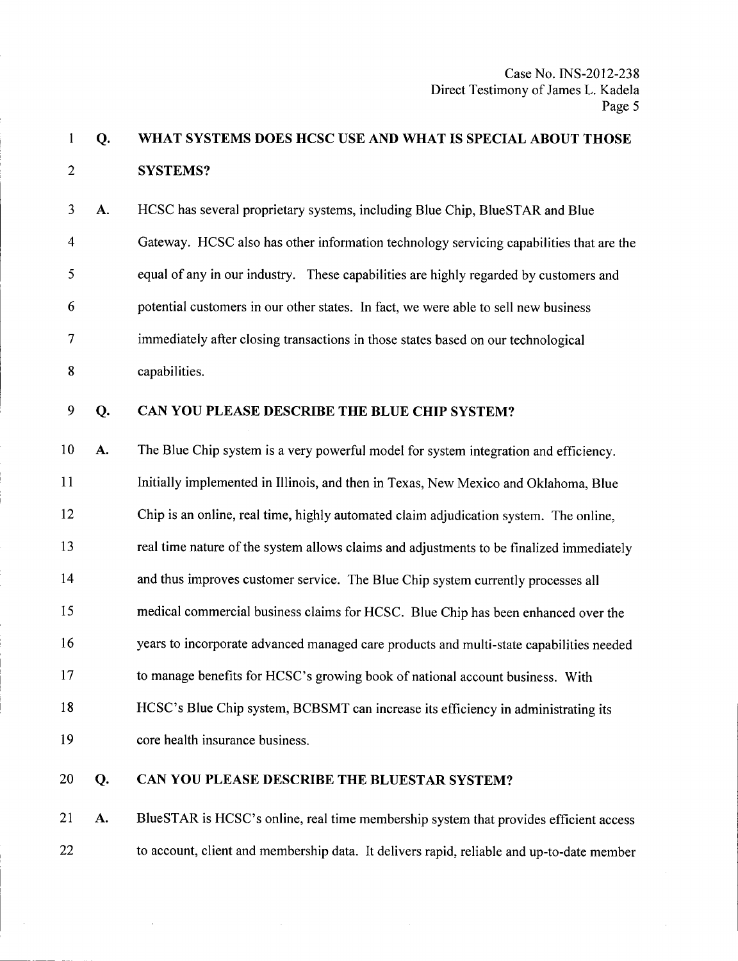### 1 Q.  $\mathfrak{D}$ WHAT SYSTEMS DOES HCSC USE AND WHAT IS SPECIAL ABOUT THOSE SYSTEMS?

3 A. 4 5 6 7 8 HCSC has several proprietary systems, including Blue Chip, BlueSTAR and Blue Gateway. HCSC also has other information technology servicing capabilities that are the equal of any in our industry. These capabilities are highly regarded by customers and potential customers in our other states. In fact, we were able to sell new business immediately after closing transactions in those states based on our technological capabilities.

#### 9 Q. CAN YOU PLEASE DESCRIBE THE BLUE CHIP SYSTEM?

10 A. 11 12 13 14 15 16 17 18 19 The Blue Chip system is a very powerful model for system integration and efficiency. Initially implemented in Illinois, and then in Texas, New Mexico and Oklahoma, Blue Chip is an online, real time, highly automated claim adjudication system. The online, real time nature of the system allows claims and adjustments to be finalized immediately and thus improves customer service. The Blue Chip system currently processes all medical commercial business claims for HCSC. Blue Chip has been enhanced over the years to incorporate advanced managed care products and multi-state capabilities needed to manage benefits for HCSC's growing book of national account business. With HCSC's Blue Chip system, BCBSMT can increase its efficiency in administrating its core health insurance business.

20 Q.

# CAN YOU PLEASE DESCRIBE THE BLUESTAR SYSTEM?

21 A. 22 BlueSTAR is HCSC's online, real time membership system that provides efficient access to account, client and membership data. It delivers rapid, reliable and up-to-date member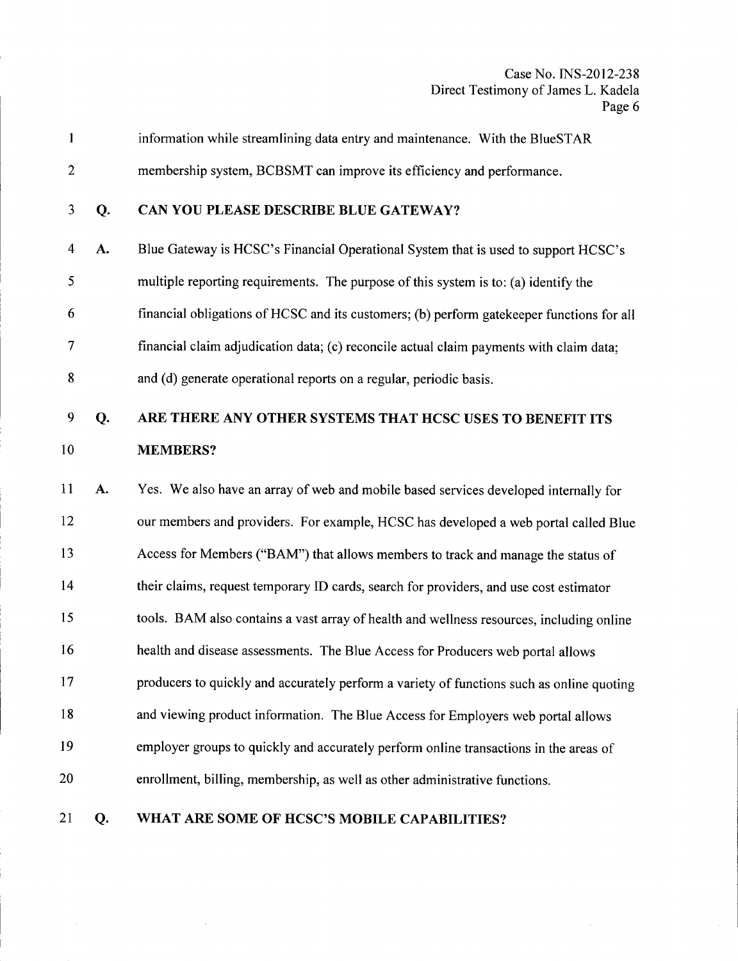$\bar{z}$ 

| 1              |    | information while streamlining data entry and maintenance. With the BlueSTAR              |
|----------------|----|-------------------------------------------------------------------------------------------|
| $\mathbf{2}$   |    | membership system, BCBSMT can improve its efficiency and performance.                     |
| $\mathfrak{Z}$ | Q. | CAN YOU PLEASE DESCRIBE BLUE GATEWAY?                                                     |
| $\overline{4}$ | A. | Blue Gateway is HCSC's Financial Operational System that is used to support HCSC's        |
| 5              |    | multiple reporting requirements. The purpose of this system is to: (a) identify the       |
| 6              |    | financial obligations of HCSC and its customers; (b) perform gatekeeper functions for all |
| 7              |    | financial claim adjudication data; (c) reconcile actual claim payments with claim data;   |
| 8              |    | and (d) generate operational reports on a regular, periodic basis.                        |
| 9              | Q. | ARE THERE ANY OTHER SYSTEMS THAT HCSC USES TO BENEFIT ITS                                 |
| 10             |    | <b>MEMBERS?</b>                                                                           |
| 11             | A. | Yes. We also have an array of web and mobile based services developed internally for      |
| 12             |    | our members and providers. For example, HCSC has developed a web portal called Blue       |
| 13             |    | Access for Members ("BAM") that allows members to track and manage the status of          |
| 14             |    | their claims, request temporary ID cards, search for providers, and use cost estimator    |
| 15             |    | tools. BAM also contains a vast array of health and wellness resources, including online  |
| 16             |    | health and disease assessments. The Blue Access for Producers web portal allows           |
| 17             |    | producers to quickly and accurately perform a variety of functions such as online quoting |
| 18             |    | and viewing product information. The Blue Access for Employers web portal allows          |
| 19             |    | employer groups to quickly and accurately perform online transactions in the areas of     |
| 20             |    | enrollment, billing, membership, as well as other administrative functions.               |
| 21             | Q. | WHAT ARE SOME OF HCSC'S MOBILE CAPABILITIES?                                              |

 $\bar{z}$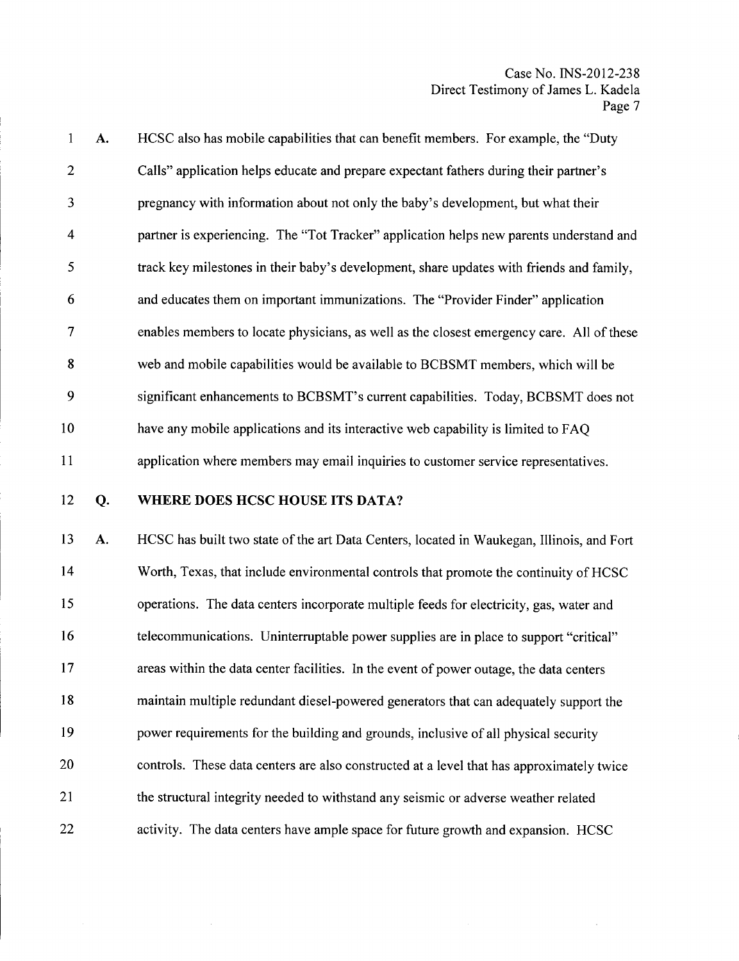| $\mathbf{1}$   | A. | HCSC also has mobile capabilities that can benefit members. For example, the "Duty        |
|----------------|----|-------------------------------------------------------------------------------------------|
| 2              |    | Calls" application helps educate and prepare expectant fathers during their partner's     |
| 3              |    | pregnancy with information about not only the baby's development, but what their          |
| $\overline{4}$ |    | partner is experiencing. The "Tot Tracker" application helps new parents understand and   |
| 5              |    | track key milestones in their baby's development, share updates with friends and family,  |
| 6              |    | and educates them on important immunizations. The "Provider Finder" application           |
| 7              |    | enables members to locate physicians, as well as the closest emergency care. All of these |
| 8              |    | web and mobile capabilities would be available to BCBSMT members, which will be           |
| 9              |    | significant enhancements to BCBSMT's current capabilities. Today, BCBSMT does not         |
| 10             |    | have any mobile applications and its interactive web capability is limited to FAQ         |
| 11             |    | application where members may email inquiries to customer service representatives.        |

## 12 Q.

## WHERE DOES HCSC HOUSE ITS DATA?

13 A. 14 15 16 17 18 19 20 21 22 HCSC has built two state of the art Data Centers, located in Waukegan, Illinois, and Fort Worth, Texas, that include environmental controls that promote the continuity of HCSC operations. The data centers incorporate multiple feeds for electricity, gas, water and telecommunications. Uninterruptable power supplies are in place to support "critical" areas within the data center facilities. In the event of power outage, the data centers maintain multiple redundant diesel-powered generators that can adequately support the power requirements for the building and grounds, inclusive of all physical security controls. These data centers are also constructed at a level that has approximately twice the structural integrity needed to withstand any seismic or adverse weather related activity. The data centers have ample space for future growth and expansion. HCSC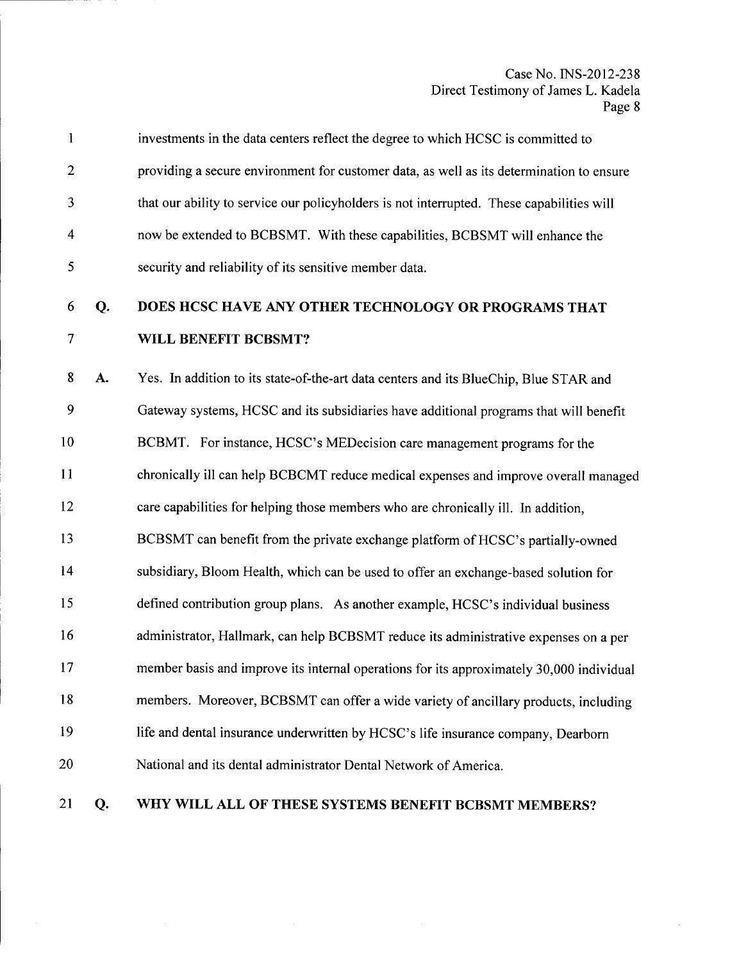|                | investments in the data centers reflect the degree to which HCSC is committed to          |
|----------------|-------------------------------------------------------------------------------------------|
| $\overline{2}$ | providing a secure environment for customer data, as well as its determination to ensure  |
| 3              | that our ability to service our policyholders is not interrupted. These capabilities will |
| $\overline{4}$ | now be extended to BCBSMT. With these capabilities, BCBSMT will enhance the               |
| 5              | security and reliability of its sensitive member data.                                    |

## 6 Q. 7 DOES HCSC HAVE ANY OTHER TECHNOLOGY OR PROGRAMS THAT WILL BENEFIT BCBSMT?

8 A. 9 10 11 12 13 14 15 16 17 18 19 20 Yes. In addition to its state-of-the-art data centers and its BlueChip, Blue STAR and Gateway systems, HCSC and its subsidiaries have additional programs that will benefit BCBMT. For instance, HCSC's MEDecision care management programs for the chronically ill can help BCBCMT reduce medical expenses and improve overall managed care capabilities for helping those members who are chronically ill. In addition, BCBSMT can benefit from the private exchange platform of HCSC's partially-owned subsidiary, Bloom Health, which can be used to offer an exchange-based solution for defined contribution group plans. As another example, HCSC's individual business administrator, Hallmark, can help BCBSMT reduce its administrative expenses on a per member basis and improve its internal operations for its approximately 30,000 individual members. Moreover, BCBSMT can offer a wide variety of ancillary products, including life and dental insurance underwritten by HCSC's life insurance company, Dearborn National and its dental administrator Dental Network of America.

#### 21 Q. WHY WILL ALL OF THESE SYSTEMS BENEFIT BCBSMT MEMBERS?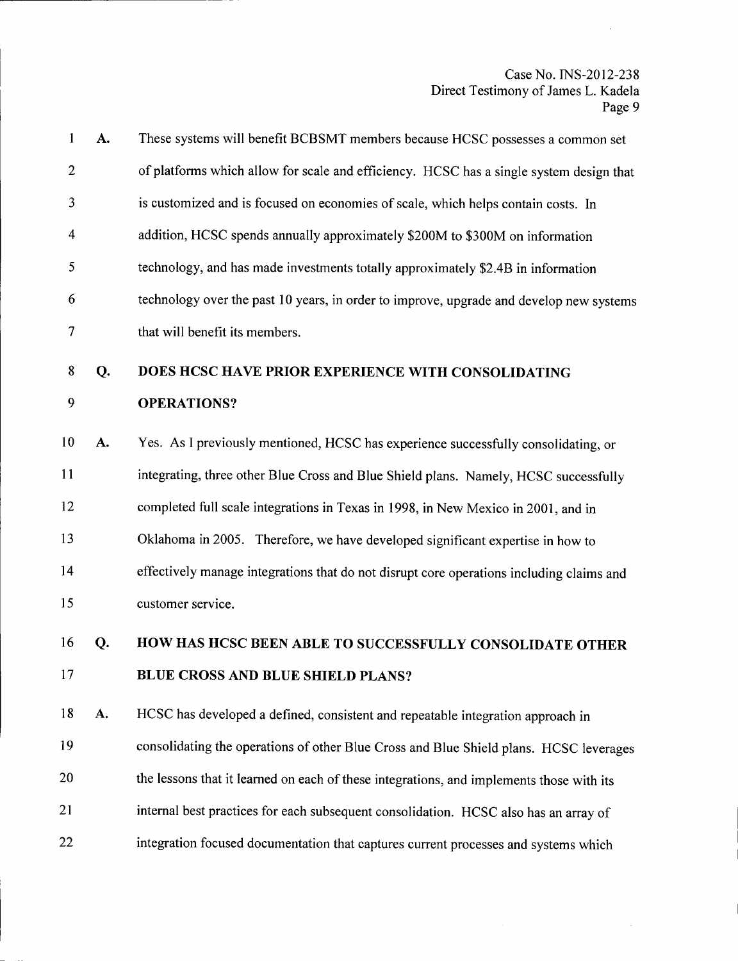| 1              | A. | These systems will benefit BCBSMT members because HCSC possesses a common set            |
|----------------|----|------------------------------------------------------------------------------------------|
| $\overline{c}$ |    | of platforms which allow for scale and efficiency. HCSC has a single system design that  |
| 3              |    | is customized and is focused on economies of scale, which helps contain costs. In        |
| 4              |    | addition, HCSC spends annually approximately \$200M to \$300M on information             |
| 5              |    | technology, and has made investments totally approximately \$2.4B in information         |
| 6              |    | technology over the past 10 years, in order to improve, upgrade and develop new systems  |
| 7              |    | that will benefit its members.                                                           |
| 8              | Q. | DOES HCSC HAVE PRIOR EXPERIENCE WITH CONSOLIDATING                                       |
| 9              |    | <b>OPERATIONS?</b>                                                                       |
| 10             | A. | Yes. As I previously mentioned, HCSC has experience successfully consolidating, or       |
| 11             |    | integrating, three other Blue Cross and Blue Shield plans. Namely, HCSC successfully     |
| 12             |    | completed full scale integrations in Texas in 1998, in New Mexico in 2001, and in        |
| 13             |    | Oklahoma in 2005. Therefore, we have developed significant expertise in how to           |
| 14             |    | effectively manage integrations that do not disrupt core operations including claims and |
| 15             |    | customer service.                                                                        |
| 16             | Q. | HOW HAS HCSC BEEN ABLE TO SUCCESSFULLY CONSOLIDATE OTHER                                 |
| 17             |    | <b>BLUE CROSS AND BLUE SHIELD PLANS?</b>                                                 |
| 18             | A. | HCSC has developed a defined, consistent and repeatable integration approach in          |
| 19             |    | consolidating the operations of other Blue Cross and Blue Shield plans. HCSC leverages   |
| 20             |    | the lessons that it learned on each of these integrations, and implements those with its |

- 21 internal best practices for each subsequent consolidation. HCSC also has an array of
- 22 integration focused documentation that captures current processes and systems which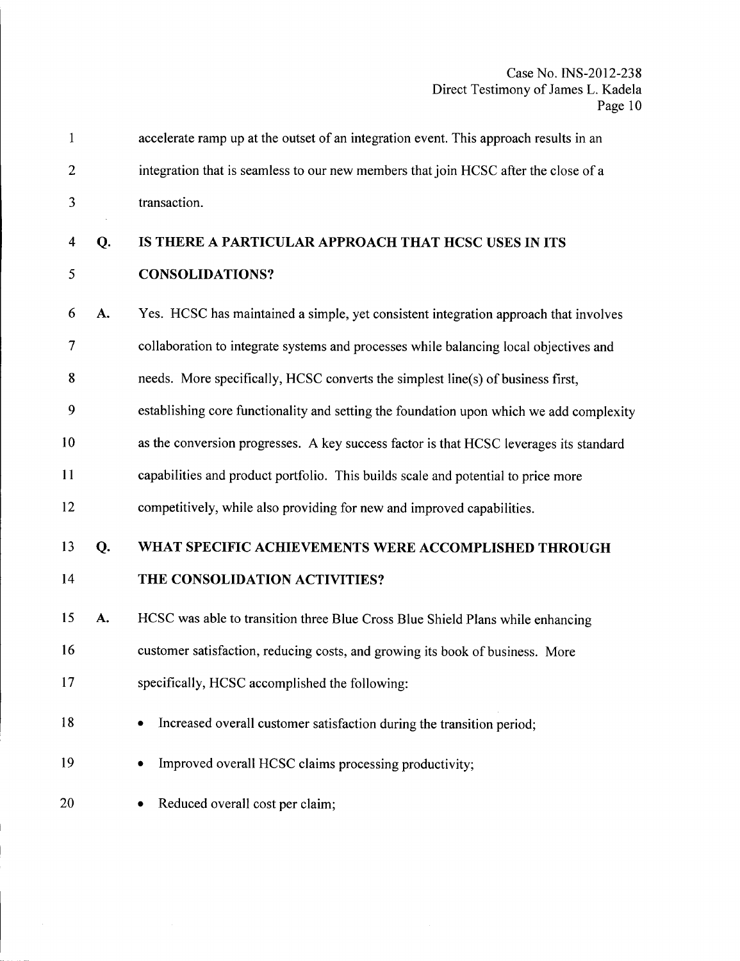| 1              |    | accelerate ramp up at the outset of an integration event. This approach results in an   |
|----------------|----|-----------------------------------------------------------------------------------------|
| $\overline{c}$ |    | integration that is seamless to our new members that join HCSC after the close of a     |
| 3              |    | transaction.                                                                            |
| 4              | Q. | IS THERE A PARTICULAR APPROACH THAT HCSC USES IN ITS                                    |
| 5              |    | <b>CONSOLIDATIONS?</b>                                                                  |
| 6              | A. | Yes. HCSC has maintained a simple, yet consistent integration approach that involves    |
| 7              |    | collaboration to integrate systems and processes while balancing local objectives and   |
| 8              |    | needs. More specifically, HCSC converts the simplest line(s) of business first,         |
| 9              |    | establishing core functionality and setting the foundation upon which we add complexity |
| 10             |    | as the conversion progresses. A key success factor is that HCSC leverages its standard  |
| 11             |    | capabilities and product portfolio. This builds scale and potential to price more       |
| 12             |    | competitively, while also providing for new and improved capabilities.                  |
| 13             | Q. | WHAT SPECIFIC ACHIEVEMENTS WERE ACCOMPLISHED THROUGH                                    |
| 14             |    | THE CONSOLIDATION ACTIVITIES?                                                           |
| 15             | A. | HCSC was able to transition three Blue Cross Blue Shield Plans while enhancing          |
| 16             |    | customer satisfaction, reducing costs, and growing its book of business. More           |
| 17             |    | specifically, HCSC accomplished the following:                                          |
| 18             |    | Increased overall customer satisfaction during the transition period;<br>٠              |
| 19             |    | Improved overall HCSC claims processing productivity;                                   |
| 20             |    | Reduced overall cost per claim;                                                         |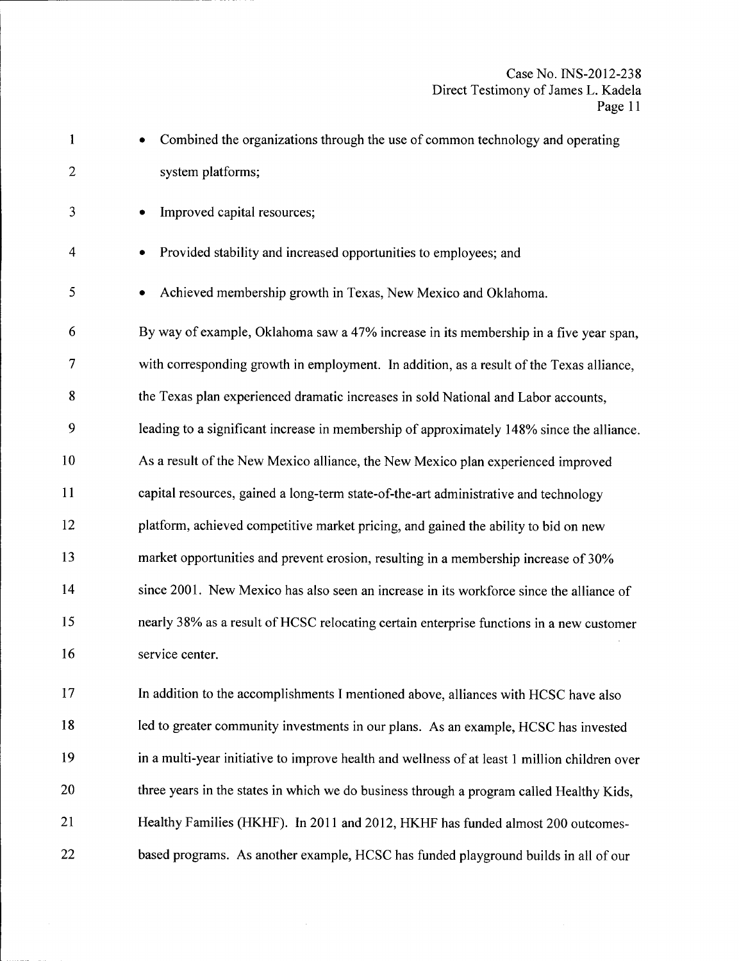| $\mathbf{1}$ | Combined the organizations through the use of common technology and operating                 |
|--------------|-----------------------------------------------------------------------------------------------|
| $\mathbf{2}$ | system platforms;                                                                             |
| 3            | Improved capital resources;                                                                   |
| 4            | Provided stability and increased opportunities to employees; and                              |
| 5            | Achieved membership growth in Texas, New Mexico and Oklahoma.                                 |
| 6            | By way of example, Oklahoma saw a 47% increase in its membership in a five year span,         |
| 7            | with corresponding growth in employment. In addition, as a result of the Texas alliance,      |
| 8            | the Texas plan experienced dramatic increases in sold National and Labor accounts,            |
| 9            | leading to a significant increase in membership of approximately 148% since the alliance.     |
| 10           | As a result of the New Mexico alliance, the New Mexico plan experienced improved              |
| 11           | capital resources, gained a long-term state-of-the-art administrative and technology          |
| 12           | platform, achieved competitive market pricing, and gained the ability to bid on new           |
| 13           | market opportunities and prevent erosion, resulting in a membership increase of 30%           |
| 14           | since 2001. New Mexico has also seen an increase in its workforce since the alliance of       |
| 15           | nearly 38% as a result of HCSC relocating certain enterprise functions in a new customer      |
| 16           | service center.                                                                               |
| 17           | In addition to the accomplishments I mentioned above, alliances with HCSC have also           |
| 18           | led to greater community investments in our plans. As an example, HCSC has invested           |
| 19           | in a multi-year initiative to improve health and wellness of at least 1 million children over |
| 20           | three years in the states in which we do business through a program called Healthy Kids,      |
| 21           | Healthy Families (HKHF). In 2011 and 2012, HKHF has funded almost 200 outcomes-               |
| 22           | based programs. As another example, HCSC has funded playground builds in all of our           |

 $\sim$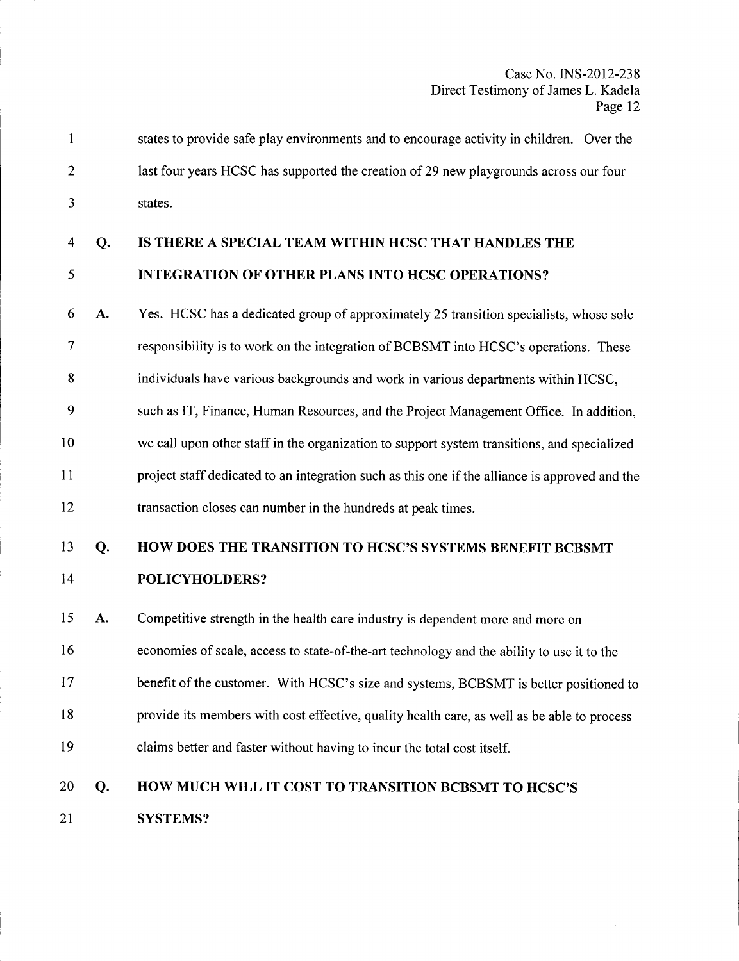| states to provide safe play environments and to encourage activity in children. Over the |
|------------------------------------------------------------------------------------------|
| last four years HCSC has supported the creation of 29 new playgrounds across our four    |
| states.                                                                                  |

#### 4 Q. IS THERE A SPECIAL TEAM WITHIN HCSC THAT HANDLES THE

#### 5 INTEGRATION OF OTHER PLANS INTO HCSC OPERATIONS?

- 6 A. 7 8 9 Yes. HCSC has a dedicated group of approximately 25 transition specialists, whose sole responsibility is to work on the integration of BCBSMT into HCSC's operations. These individuals have various backgrounds and work in various departments within HCSC, such as IT, Finance, Human Resources, and the Project Management Office. In addition,
- 10 11 12 we call upon other staff in the organization to support system transitions, and specialized project staff dedicated to an integration such as this one if the alliance is approved and the transaction closes can number in the hundreds at peak times.

### 13 Q. 14 HOW DOES THE TRANSITION TO HCSC'S SYSTEMS BENEFIT BCBSMT POLICYHOLDERS?

15 A. 16 17 18 Competitive strength in the health care industry is dependent more and more on economies of scale, access to state-of-the-art technology and the ability to use it to the benefit of the customer. With HCSC's size and systems, BCBSMT is better positioned to provide its members with cost effective, quality health care, as well as be able to process

19 claims better and faster without having to incur the total cost itself.

### 20 Q. 21 HOW MUCH WILL IT COST TO TRANSITION BCBSMT TO HCSC'S SYSTEMS?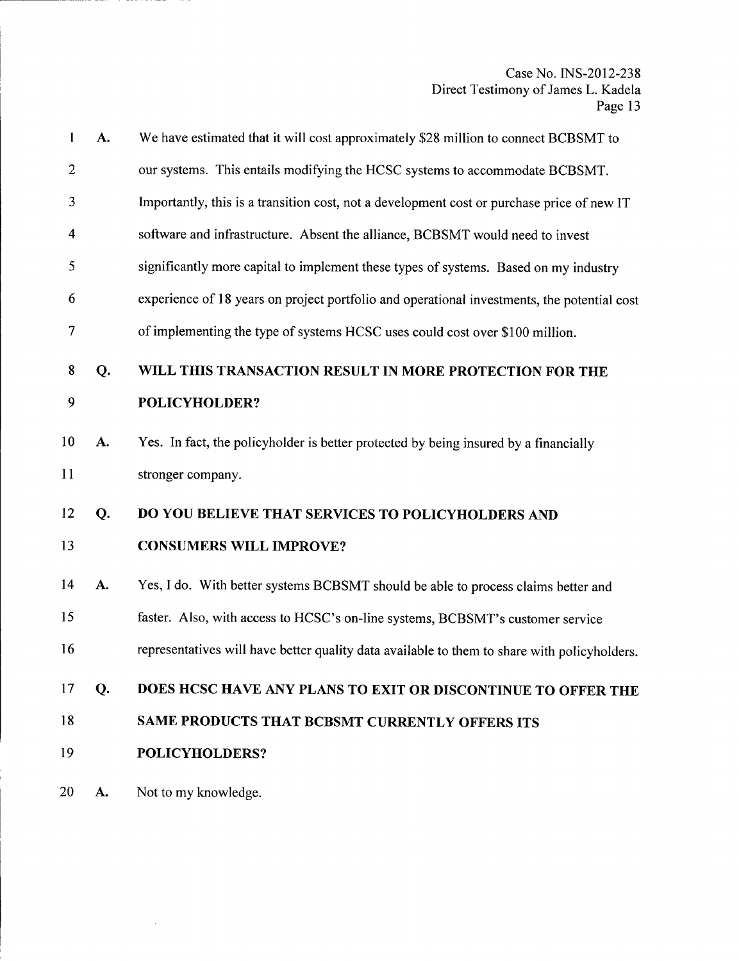| $\mathbf{1}$            | A. | We have estimated that it will cost approximately \$28 million to connect BCBSMT to          |
|-------------------------|----|----------------------------------------------------------------------------------------------|
| $\overline{2}$          |    | our systems. This entails modifying the HCSC systems to accommodate BCBSMT.                  |
| 3                       |    | Importantly, this is a transition cost, not a development cost or purchase price of new IT   |
| $\overline{\mathbf{4}}$ |    | software and infrastructure. Absent the alliance, BCBSMT would need to invest                |
| 5                       |    | significantly more capital to implement these types of systems. Based on my industry         |
| 6                       |    | experience of 18 years on project portfolio and operational investments, the potential cost  |
| $\overline{7}$          |    | of implementing the type of systems HCSC uses could cost over \$100 million.                 |
| 8                       | Q. | WILL THIS TRANSACTION RESULT IN MORE PROTECTION FOR THE                                      |
| 9                       |    | POLICYHOLDER?                                                                                |
| 10                      | A. | Yes. In fact, the policyholder is better protected by being insured by a financially         |
| 11                      |    | stronger company.                                                                            |
| 12                      | Q. | DO YOU BELIEVE THAT SERVICES TO POLICYHOLDERS AND                                            |
| 13                      |    | <b>CONSUMERS WILL IMPROVE?</b>                                                               |
| 14                      | A. | Yes, I do. With better systems BCBSMT should be able to process claims better and            |
| 15                      |    | faster. Also, with access to HCSC's on-line systems, BCBSMT's customer service               |
| 16                      |    | representatives will have better quality data available to them to share with policyholders. |
| 17                      | Q. | DOES HCSC HAVE ANY PLANS TO EXIT OR DISCONTINUE TO OFFER THE                                 |
| 18                      |    | SAME PRODUCTS THAT BCBSMT CURRENTLY OFFERS ITS                                               |
| 19                      |    | POLICYHOLDERS?                                                                               |
| 20                      | A. | Not to my knowledge.                                                                         |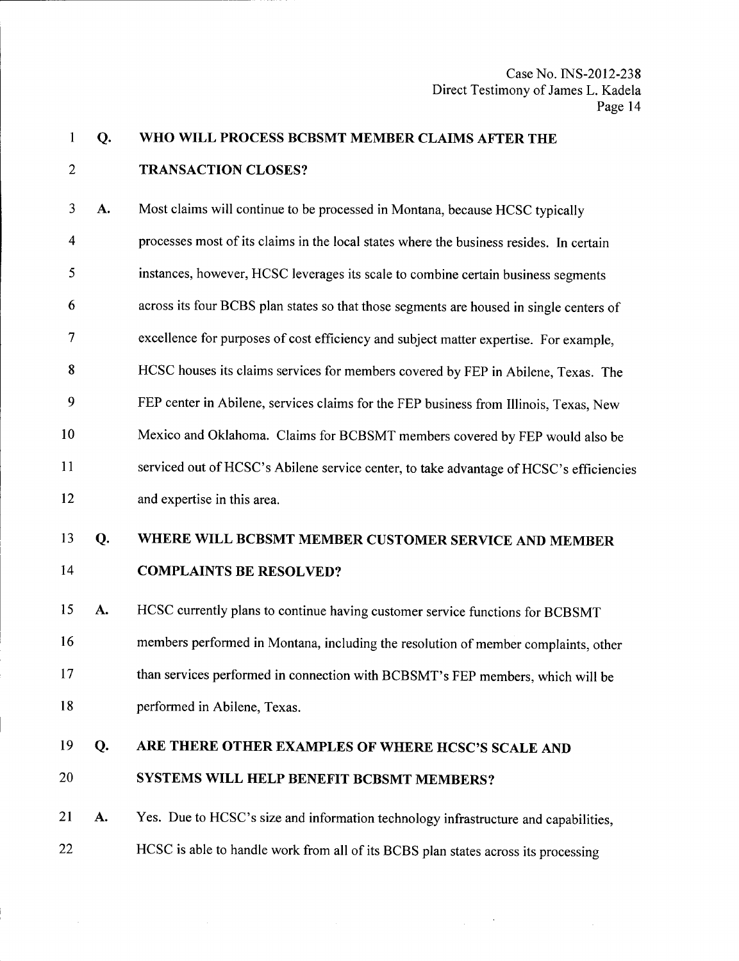## 1 Q. 2 WHO WILL PROCESS BCBSMT MEMBER CLAIMS AFTER THE TRANSACTION CLOSES?

3 A. 4 5 6 7 8 9 10 11 12 13 Q. 14 15 A. 16 17 Most claims will continue to be processed in Montana, because HCSC typically processes most of its claims in the local states where the business resides. In certain instances, however, HCSC leverages its scale to combine certain business segments across its four BCBS plan states so that those segments are housed in single centers of excellence for purposes of cost efficiency and subject matter expertise. For example, HCSC houses its claims services for members covered by FEP in Abilene, Texas. The FEP center in Abilene, services claims for the FEP business from Illinois, Texas, New Mexico and Oklahoma. Claims for BCBSMT members covered by FEP would also be serviced out of HCSC's Abilene service center, to take advantage of HCSC's efficiencies and expertise in this area. WHERE WILL BCBSMT MEMBER CUSTOMER SERVICE AND MEMBER COMPLAINTS BE RESOLVED? HCSC currently plans to continue having customer service functions for BCBSMT members performed in Montana, including the resolution of member complaints, other than services performed in connection with BCBSMT's FEP members, which will be

18

performed in Abilene, Texas.

19 Q. 20 ARE THERE OTHER EXAMPLES OF WHERE HCSC'S SCALE AND SYSTEMS WILL HELP BENEFIT BCBSMT MEMBERS?

21 A. 22 Yes. Due to HCSC's size and information technology infrastructure and capabilities, HCSC is able to handle work from all of its BCBS plan states across its processing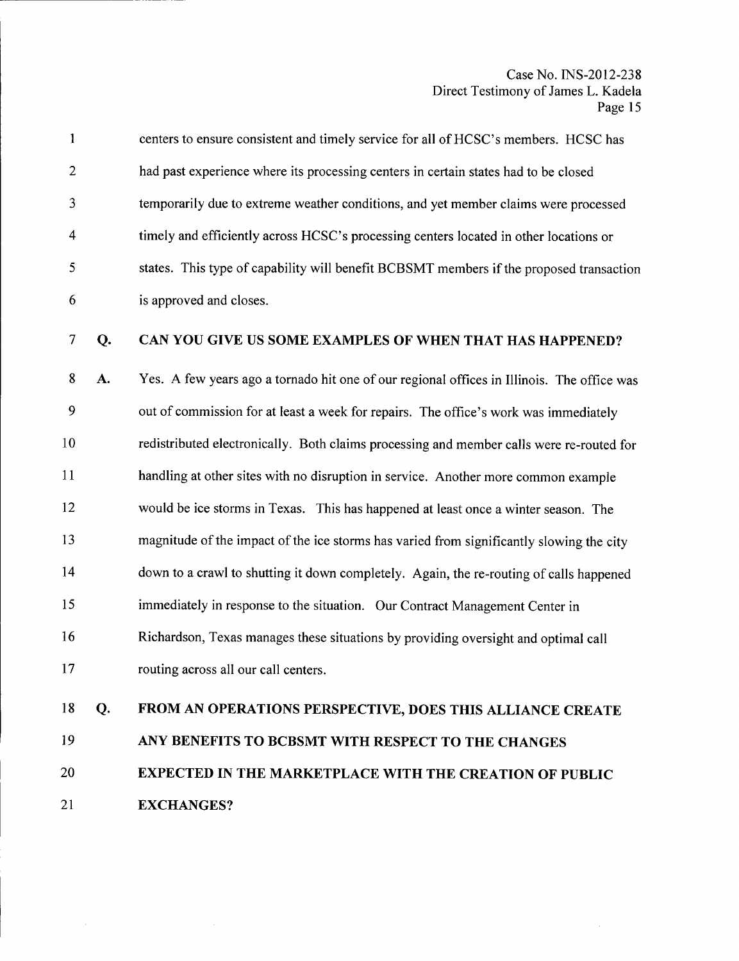| $\mathbf{1}$   |    | centers to ensure consistent and timely service for all of HCSC's members. HCSC has        |
|----------------|----|--------------------------------------------------------------------------------------------|
| $\mathbf{2}$   |    | had past experience where its processing centers in certain states had to be closed        |
| 3              |    | temporarily due to extreme weather conditions, and yet member claims were processed        |
| 4              |    | timely and efficiently across HCSC's processing centers located in other locations or      |
| 5              |    | states. This type of capability will benefit BCBSMT members if the proposed transaction    |
| 6              |    | is approved and closes.                                                                    |
| $\overline{7}$ | Q. | CAN YOU GIVE US SOME EXAMPLES OF WHEN THAT HAS HAPPENED?                                   |
| 8              | A. | Yes. A few years ago a tornado hit one of our regional offices in Illinois. The office was |
| 9              |    | out of commission for at least a week for repairs. The office's work was immediately       |
| 10             |    | redistributed electronically. Both claims processing and member calls were re-routed for   |
| 11             |    | handling at other sites with no disruption in service. Another more common example         |
| 12             |    | would be ice storms in Texas. This has happened at least once a winter season. The         |
| 13             |    | magnitude of the impact of the ice storms has varied from significantly slowing the city   |
| 14             |    | down to a crawl to shutting it down completely. Again, the re-routing of calls happened    |
| 15             |    | immediately in response to the situation. Our Contract Management Center in                |
| 16             |    | Richardson, Texas manages these situations by providing oversight and optimal call         |
| 17             |    | routing across all our call centers.                                                       |
| 18             | Q. | FROM AN OPERATIONS PERSPECTIVE, DOES THIS ALLIANCE CREATE                                  |
| 19             |    | ANY BENEFITS TO BCBSMT WITH RESPECT TO THE CHANGES                                         |
| 20             |    | EXPECTED IN THE MARKETPLACE WITH THE CREATION OF PUBLIC                                    |

21 EXCHANGES?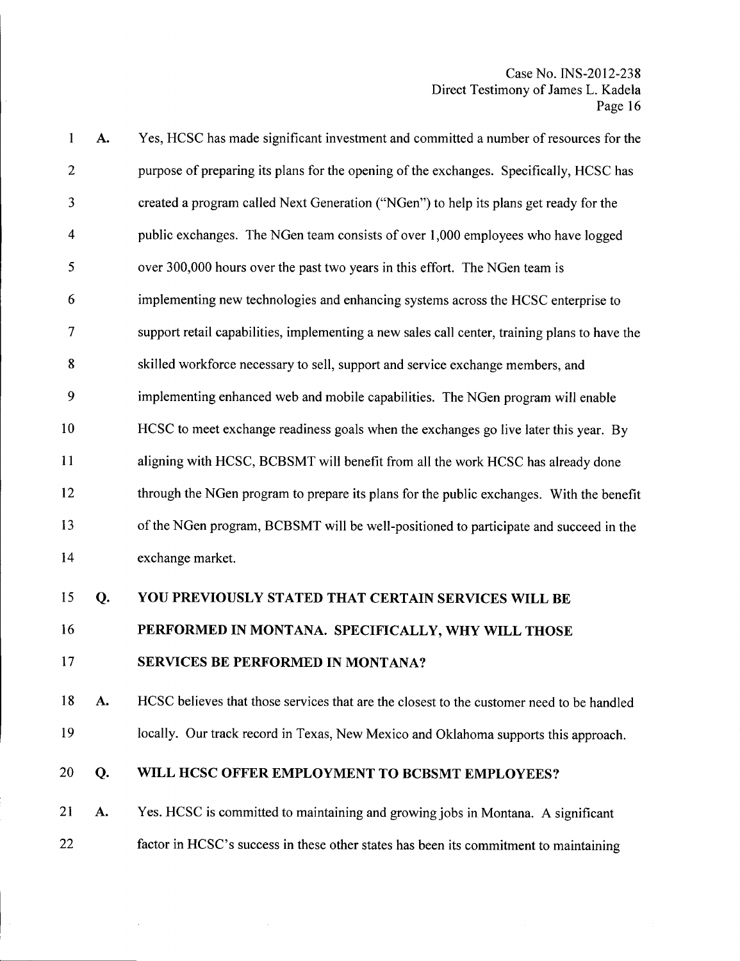| 1              | A. | Yes, HCSC has made significant investment and committed a number of resources for the         |
|----------------|----|-----------------------------------------------------------------------------------------------|
| $\overline{2}$ |    | purpose of preparing its plans for the opening of the exchanges. Specifically, HCSC has       |
| 3              |    | created a program called Next Generation ("NGen") to help its plans get ready for the         |
| 4              |    | public exchanges. The NGen team consists of over 1,000 employees who have logged              |
| 5              |    | over 300,000 hours over the past two years in this effort. The NGen team is                   |
| 6              |    | implementing new technologies and enhancing systems across the HCSC enterprise to             |
| 7              |    | support retail capabilities, implementing a new sales call center, training plans to have the |
| 8              |    | skilled workforce necessary to sell, support and service exchange members, and                |
| 9              |    | implementing enhanced web and mobile capabilities. The NGen program will enable               |
| 10             |    | HCSC to meet exchange readiness goals when the exchanges go live later this year. By          |
| 11             |    | aligning with HCSC, BCBSMT will benefit from all the work HCSC has already done               |
| 12             |    | through the NGen program to prepare its plans for the public exchanges. With the benefit      |
| 13             |    | of the NGen program, BCBSMT will be well-positioned to participate and succeed in the         |
| 14             |    | exchange market.                                                                              |
| 15             | Q. | YOU PREVIOUSLY STATED THAT CERTAIN SERVICES WILL BE                                           |
| 16             |    | PERFORMED IN MONTANA. SPECIFICALLY, WHY WILL THOSE                                            |
| 17             |    | <b>SERVICES BE PERFORMED IN MONTANA?</b>                                                      |
| 18             | A. | HCSC believes that those services that are the closest to the customer need to be handled     |
| 19             |    | locally. Our track record in Texas, New Mexico and Oklahoma supports this approach.           |
| 20             | Q. | WILL HCSC OFFER EMPLOYMENT TO BCBSMT EMPLOYEES?                                               |
| 21             | A. | Yes. HCSC is committed to maintaining and growing jobs in Montana. A significant              |
| 22             |    | factor in HCSC's success in these other states has been its commitment to maintaining         |

 $\hat{\mathcal{L}}$ 

 $\mathcal{A}^{\mathcal{A}}$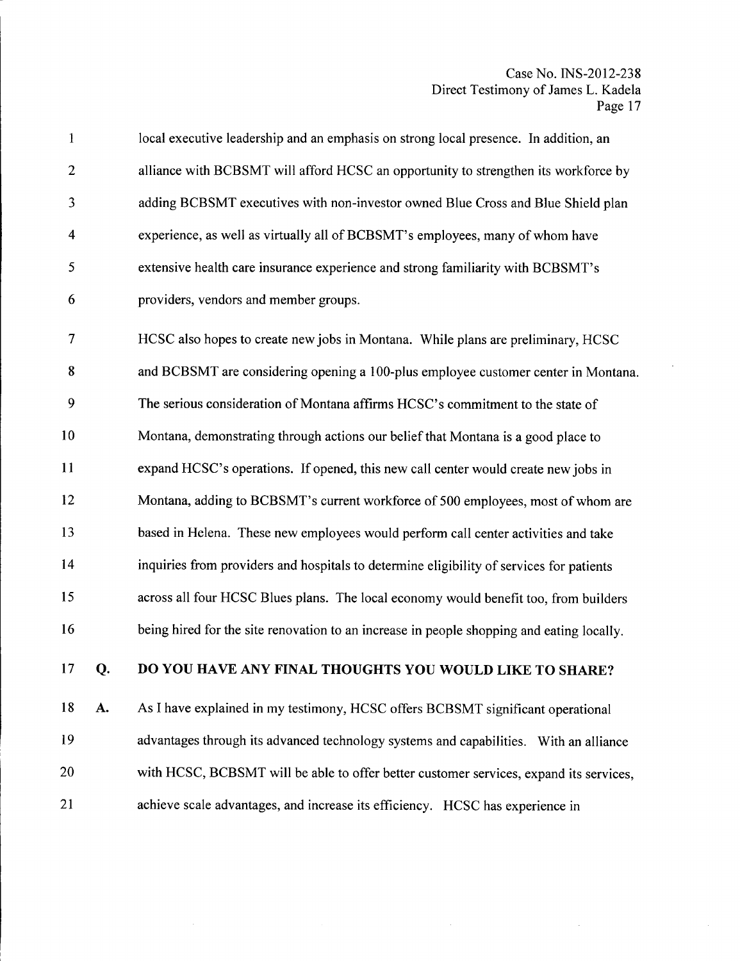| $\mathbf{1}$   | local executive leadership and an emphasis on strong local presence. In addition, an |
|----------------|--------------------------------------------------------------------------------------|
| $\overline{2}$ | alliance with BCBSMT will afford HCSC an opportunity to strengthen its workforce by  |
| 3              | adding BCBSMT executives with non-investor owned Blue Cross and Blue Shield plan     |
| $\overline{4}$ | experience, as well as virtually all of BCBSMT's employees, many of whom have        |
| 5              | extensive health care insurance experience and strong familiarity with BCBSMT's      |
| 6              | providers, vendors and member groups.                                                |
| $\overline{7}$ | HCSC also hopes to create new jobs in Montana. While plans are preliminary, HCSC     |
| 8              | and BCBSMT are considering opening a 100-plus employee customer center in Montana    |
| 9              | The serious consideration of Montana affirms HCSC's commitment to the state of       |
| 10             | Montana, demonstrating through actions our belief that Montana is a good place to    |
| 11             | expand HCSC's operations. If opened, this new call center would create new jobs in   |

12 Montana, adding to BCBSMT's current workforce of 500 employees, most of whom are

13 based in Helena. These new employees would perform call center activities and take

14 15 16 inquiries from providers and hospitals to determine eligibility of services for patients across all four HCSC Blues plans. The local economy would benefit too, from builders being hired for the site renovation to an increase in people shopping and eating locally.

#### 17 Q. DO YOU HAVE ANY FINAL THOUGHTS YOU WOULD LIKE TO SHARE?

18 A. 19 20 21 As I have explained in my testimony, HCSC offers BCBSMT significant operational advantages through its advanced technology systems and capabilities. With an alliance with HCSC, BCBSMT will be able to offer better customer services, expand its services, achieve scale advantages, and increase its efficiency. HCSC has experience in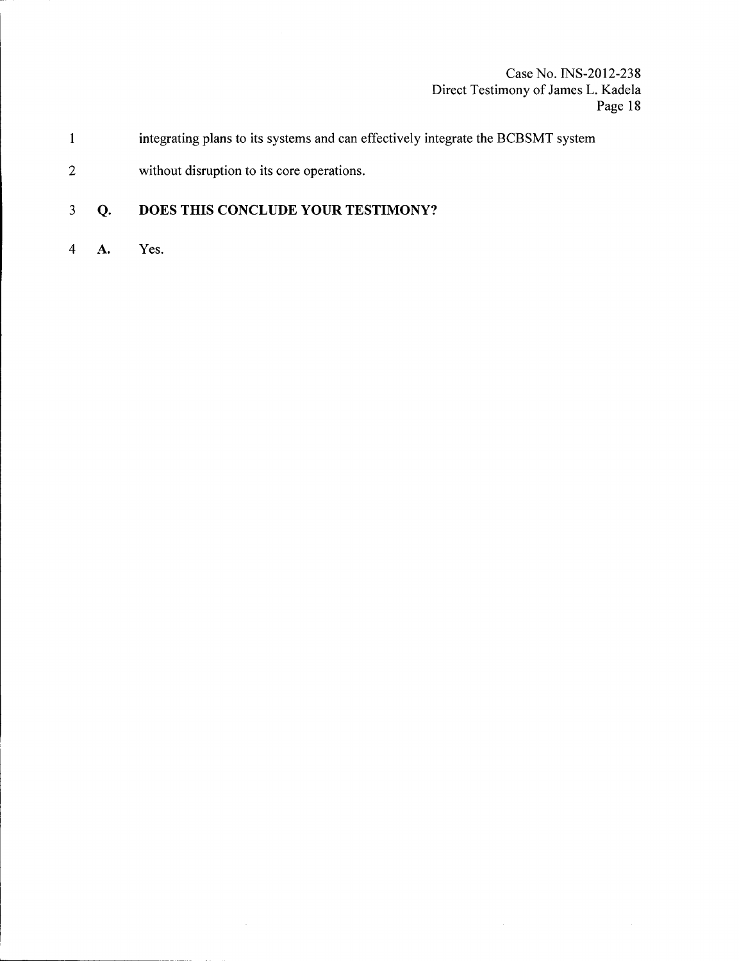- 1 integrating plans to its systems and can effectively integrate the BCBSMT system
- 2 without disruption to its core operations.

#### 3 **Q. DOES THIS CONCLUDE YOUR TESTIMONY?**

 $\bar{z}$ 

4 A. Yes.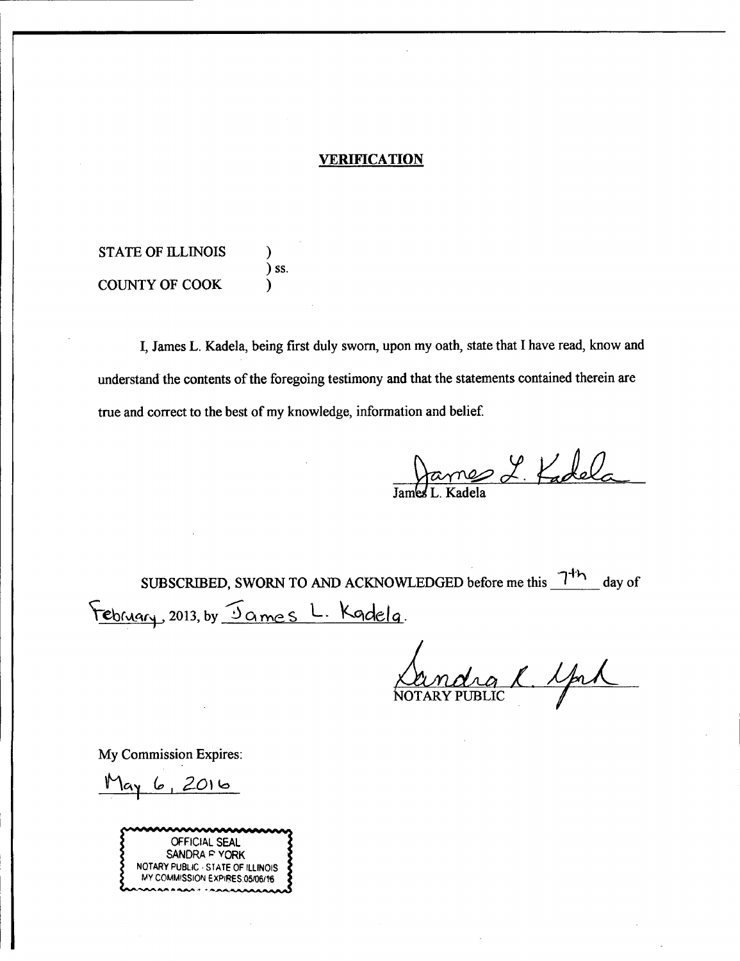# **VERIFICATION**

STATE OF ILLINOIS (1) ) ss. COUNTY OF COOK

I, James L. Kadela, being first duly sworn, upon my oath, state that I have read, know and understand the contents of the foregoing testimony and that the statements contained therein are true and correct to the best of my knowledge, information and belief

James L. K

 $7<sup>1</sup>$ SUBSCRIBED, SWORN TO AND ACKNOWLEDGED before me this  $7<sup>1</sup>$ <sup>1</sup> day of February, 2013, by Sames L. Kadela.

rg R Sprl

My Commission Expires:

 $May6,2016$